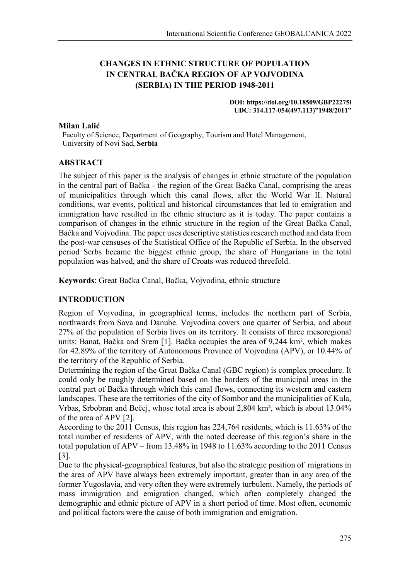# **CHANGES IN ETHNIC STRUCTURE OF POPULATION IN CENTRAL BAČKA REGION OF AP VOJVODINA (SERBIA) IN THE PERIOD 1948-2011**

#### **DOI: https://doi.org/10.18509/GBP22275l UDC: 314.117-054(497.113)"1948/2011"**

## **Milan Lalić**

 Faculty of Science, Department of Geography, Tourism and Hotel Management, University of Novi Sad, **Serbia**

# **ABSTRACT**

The subject of this paper is the analysis of changes in ethnic structure of the population in the central part of Bačka - the region of the Great Bačka Canal, comprising the areas of municipalities through which this canal flows, after the World War II. Natural conditions, war events, political and historical circumstances that led to emigration and immigration have resulted in the ethnic structure as it is today. The paper contains a comparison of changes in the ethnic structure in the region of the Great Bačka Canal, Bačka and Vojvodina. The paper uses descriptive statistics research method and data from the post-war censuses of the Statistical Office of the Republic of Serbia. In the observed period Serbs became the biggest ethnic group, the share of Hungarians in the total population was halved, and the share of Croats was reduced threefold.

**Keywords**: Great Bačka Canal, Bačka, Vojvodina, ethnic structure

## **INTRODUCTION**

Region of Vojvodina, in geographical terms, includes the northern part of Serbia, northwards from Sava and Danube. Vojvodina covers one quarter of Serbia, and about 27% of the population of Serbia lives on its territory. It consists of three mesoregional units: Banat, Bačka and Srem [1]. Bačka occupies the area of 9,244 km², which makes for 42.89% of the territory of Autonomous Province of Vojvodina (APV), or 10.44% of the territory of the Republic of Serbia.

Determining the region of the Great Bačka Canal (GBC region) is complex procedure. It could only be roughly determined based on the borders of the municipal areas in the central part of Bačka through which this canal flows, connecting its western and eastern landscapes. These are the territories of the city of Sombor and the municipalities of Kula, Vrbas, Srbobran and Bečej, whose total area is about 2,804 km², which is about 13.04% of the area of APV [2].

According to the 2011 Census, this region has 224,764 residents, which is 11.63% of the total number of residents of APV, with the noted decrease of this region's share in the total population of APV – from 13.48% in 1948 to 11.63% according to the 2011 Census [3].

Due to the physical-geographical features, but also the strategic position of migrations in the area of APV have always been extremely important, greater than in any area of the former Yugoslavia, and very often they were extremely turbulent. Namely, the periods of mass immigration and emigration changed, which often completely changed the demographic and ethnic picture of APV in a short period of time. Most often, economic and political factors were the cause of both immigration and emigration.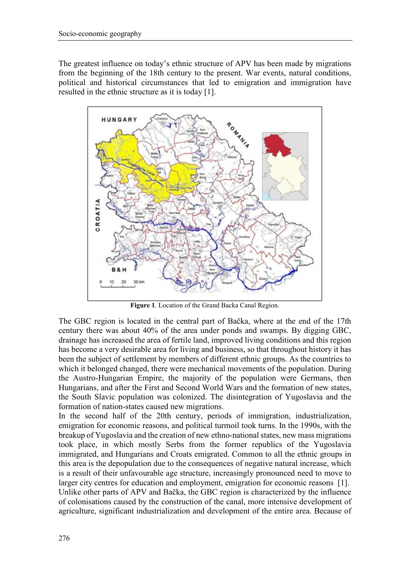The greatest influence on today's ethnic structure of APV has been made by migrations from the beginning of the 18th century to the present. War events, natural conditions, political and historical circumstances that led to emigration and immigration have resulted in the ethnic structure as it is today [1].



**Figure 1**. Location of the Grand Backa Canal Region.

The GBC region is located in the central part of Bačka, where at the end of the 17th century there was about 40% of the area under ponds and swamps. By digging GBC, drainage has increased the area of fertile land, improved living conditions and this region has become a very desirable area for living and business, so that throughout history it has been the subject of settlement by members of different ethnic groups. As the countries to which it belonged changed, there were mechanical movements of the population. During the Austro-Hungarian Empire, the majority of the population were Germans, then Hungarians, and after the First and Second World Wars and the formation of new states, the South Slavic population was colonized. The disintegration of Yugoslavia and the formation of nation-states caused new migrations.

In the second half of the 20th century, periods of immigration, industrialization, emigration for economic reasons, and political turmoil took turns. In the 1990s, with the breakup of Yugoslavia and the creation of new ethno-national states, new mass migrations took place, in which mostly Serbs from the former republics of the Yugoslavia immigrated, and Hungarians and Croats emigrated. Common to all the ethnic groups in this area is the depopulation due to the consequences of negative natural increase, which is a result of their unfavourable age structure, increasingly pronounced need to move to larger city centres for education and employment, emigration for economic reasons [1]. Unlike other parts of APV and Bačka, the GBC region is characterized by the influence of colonisations caused by the construction of the canal, more intensive development of agriculture, significant industrialization and development of the entire area. Because of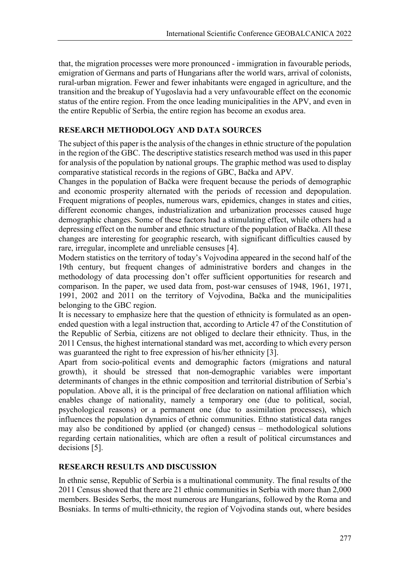that, the migration processes were more pronounced - immigration in favourable periods, emigration of Germans and parts of Hungarians after the world wars, arrival of colonists, rural-urban migration. Fewer and fewer inhabitants were engaged in agriculture, and the transition and the breakup of Yugoslavia had a very unfavourable effect on the economic status of the entire region. From the once leading municipalities in the APV, and even in the entire Republic of Serbia, the entire region has become an exodus area.

# **RESEARCH METHODOLOGY AND DATA SOURCES**

The subject of this paper is the analysis of the changes in ethnic structure of the population in the region of the GBC. The descriptive statistics research method was used in this paper for analysis of the population by national groups. The graphic method was used to display comparative statistical records in the regions of GBC, Bačka and APV.

Changes in the population of Bačka were frequent because the periods of demographic and economic prosperity alternated with the periods of recession and depopulation. Frequent migrations of peoples, numerous wars, epidemics, changes in states and cities, different economic changes, industrialization and urbanization processes caused huge demographic changes. Some of these factors had a stimulating effect, while others had a depressing effect on the number and ethnic structure of the population of Bačka. All these changes are interesting for geographic research, with significant difficulties caused by rare, irregular, incomplete and unreliable censuses [4].

Modern statistics on the territory of today's Vojvodina appeared in the second half of the 19th century, but frequent changes of administrative borders and changes in the methodology of data processing don't offer sufficient opportunities for research and comparison. In the paper, we used data from, post-war censuses of 1948, 1961, 1971, 1991, 2002 and 2011 on the territory of Vojvodina, Bačka and the municipalities belonging to the GBC region.

It is necessary to emphasize here that the question of ethnicity is formulated as an openended question with a legal instruction that, according to Article 47 of the Constitution of the Republic of Serbia, citizens are not obliged to declare their ethnicity. Thus, in the 2011 Census, the highest international standard was met, according to which every person was guaranteed the right to free expression of his/her ethnicity [3].

Apart from socio-political events and demographic factors (migrations and natural growth), it should be stressed that non-demographic variables were important determinants of changes in the ethnic composition and territorial distribution of Serbia's population. Above all, it is the principal of free declaration on national affiliation which enables change of nationality, namely a temporary one (due to political, social, psychological reasons) or a permanent one (due to assimilation processes), which influences the population dynamics of ethnic communities. Ethno statistical data ranges may also be conditioned by applied (or changed) census – methodological solutions regarding certain nationalities, which are often a result of political circumstances and decisions [5].

# **RESEARCH RESULTS AND DISCUSSION**

In ethnic sense, Republic of Serbia is a multinational community. The final results of the 2011 Census showed that there are 21 ethnic communities in Serbia with more than 2,000 members. Besides Serbs, the most numerous are Hungarians, followed by the Roma and Bosniaks. In terms of multi-ethnicity, the region of Vojvodina stands out, where besides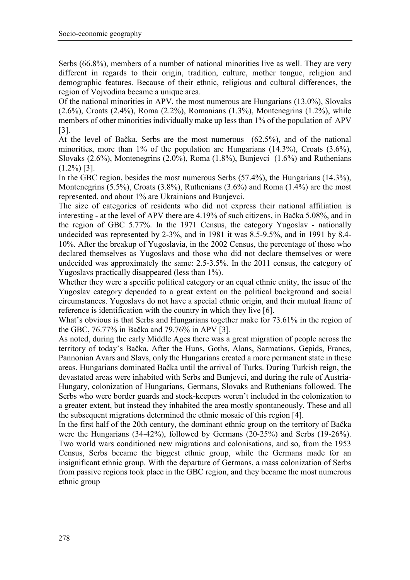Serbs (66.8%), members of a number of national minorities live as well. They are very different in regards to their origin, tradition, culture, mother tongue, religion and demographic features. Because of their ethnic, religious and cultural differences, the region of Vojvodina became a unique area.

Of the national minorities in APV, the most numerous are Hungarians (13.0%), Slovaks (2.6%), Croats (2.4%), Roma (2.2%), Romanians (1.3%), Montenegrins (1.2%), while members of other minorities individually make up less than 1% of the population of APV [3].

At the level of Bačka, Serbs are the most numerous (62.5%), and of the national minorities, more than 1% of the population are Hungarians (14.3%), Croats (3.6%), Slovaks (2.6%), Montenegrins (2.0%), Roma (1.8%), Bunjevci (1.6%) and Ruthenians  $(1.2\%)$  [3].

In the GBC region, besides the most numerous Serbs (57.4%), the Hungarians (14.3%), Montenegrins (5.5%), Croats (3.8%), Ruthenians (3.6%) and Roma (1.4%) are the most represented, and about 1% are Ukrainians and Bunjevci.

The size of categories of residents who did not express their national affiliation is interesting - at the level of APV there are 4.19% of such citizens, in Bačka 5.08%, and in the region of GBC 5.77%. In the 1971 Census, the category Yugoslav - nationally undecided was represented by 2-3%, and in 1981 it was 8.5-9.5%, and in 1991 by 8.4- 10%. After the breakup of Yugoslavia, in the 2002 Census, the percentage of those who declared themselves as Yugoslavs and those who did not declare themselves or were undecided was approximately the same: 2.5-3.5%. In the 2011 census, the category of Yugoslavs practically disappeared (less than 1%).

Whether they were a specific political category or an equal ethnic entity, the issue of the Yugoslav category depended to a great extent on the political background and social circumstances. Yugoslavs do not have a special ethnic origin, and their mutual frame of reference is identification with the country in which they live [6].

What's obvious is that Serbs and Hungarians together make for 73.61% in the region of the GBC, 76.77% in Bačka and 79.76% in APV [3].

As noted, during the early Middle Ages there was a great migration of people across the territory of today's Bačka. After the Huns, Goths, Alans, Sarmatians, Gepids, Francs, Pannonian Avars and Slavs, only the Hungarians created a more permanent state in these areas. Hungarians dominated Bačka until the arrival of Turks. During Turkish reign, the devastated areas were inhabited with Serbs and Bunjevci, and during the rule of Austria-Hungary, colonization of Hungarians, Germans, Slovaks and Ruthenians followed. The Serbs who were border guards and stock-keepers weren't included in the colonization to a greater extent, but instead they inhabited the area mostly spontaneously. These and all the subsequent migrations determined the ethnic mosaic of this region [4].

In the first half of the 20th century, the dominant ethnic group on the territory of Bačka were the Hungarians (34-42%), followed by Germans (20-25%) and Serbs (19-26%). Two world wars conditioned new migrations and colonisations, and so, from the 1953 Census, Serbs became the biggest ethnic group, while the Germans made for an insignificant ethnic group. With the departure of Germans, a mass colonization of Serbs from passive regions took place in the GBC region, and they became the most numerous ethnic group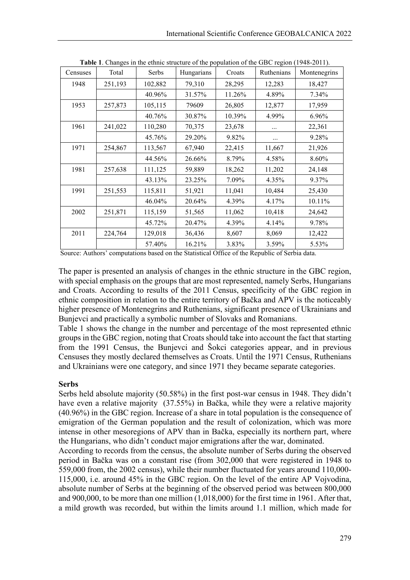| Censuses | Total   | Serbs   | <b>rapic 1.</b> Changes in the culture structure of the population of the ODC region (1740 2011).<br>Hungarians | Croats | Ruthenians | Montenegrins |
|----------|---------|---------|-----------------------------------------------------------------------------------------------------------------|--------|------------|--------------|
| 1948     | 251,193 | 102,882 | 79,310                                                                                                          | 28,295 | 12,283     | 18,427       |
|          |         | 40.96%  | 31.57%                                                                                                          | 11.26% | 4.89%      | 7.34%        |
| 1953     | 257,873 | 105,115 | 79609                                                                                                           | 26,805 | 12,877     | 17,959       |
|          |         | 40.76%  | 30.87%                                                                                                          | 10.39% | 4.99%      | 6.96%        |
| 1961     | 241,022 | 110,280 | 70,375                                                                                                          | 23,678 |            | 22,361       |
|          |         | 45.76%  | 29.20%                                                                                                          | 9.82%  | $\cdots$   | 9.28%        |
| 1971     | 254,867 | 113,567 | 67,940                                                                                                          | 22,415 | 11,667     | 21,926       |
|          |         | 44.56%  | 26.66%                                                                                                          | 8.79%  | 4.58%      | 8.60%        |
| 1981     | 257,638 | 111,125 | 59,889                                                                                                          | 18,262 | 11,202     | 24,148       |
|          |         | 43.13%  | 23.25%                                                                                                          | 7.09%  | 4.35%      | 9.37%        |
| 1991     | 251,553 | 115,811 | 51,921                                                                                                          | 11,041 | 10,484     | 25,430       |
|          |         | 46.04%  | 20.64%                                                                                                          | 4.39%  | 4.17%      | 10.11%       |
| 2002     | 251,871 | 115,159 | 51,565                                                                                                          | 11,062 | 10,418     | 24,642       |
|          |         | 45.72%  | 20.47%                                                                                                          | 4.39%  | 4.14%      | 9.78%        |
| 2011     | 224,764 | 129,018 | 36,436                                                                                                          | 8,607  | 8,069      | 12,422       |
|          |         | 57.40%  | 16.21%                                                                                                          | 3.83%  | 3.59%      | 5.53%        |

**Table 1**. Changes in the ethnic structure of the population of the GBC region (1948-2011).

Source: Authors' computations based on the Statistical Office of the Republic of Serbia data.

The paper is presented an analysis of changes in the ethnic structure in the GBC region, with special emphasis on the groups that are most represented, namely Serbs, Hungarians and Croats. According to results of the 2011 Census, specificity of the GBC region in ethnic composition in relation to the entire territory of Bačka and APV is the noticeably higher presence of Montenegrins and Ruthenians, significant presence of Ukrainians and Bunjevci and practically a symbolic number of Slovaks and Romanians.

Table 1 shows the change in the number and percentage of the most represented ethnic groups in the GBC region, noting that Croats should take into account the fact that starting from the 1991 Census, the Bunjevci and Šokci categories appear, and in previous Censuses they mostly declared themselves as Croats. Until the 1971 Census, Ruthenians and Ukrainians were one category, and since 1971 they became separate categories.

## **Serbs**

Serbs held absolute majority (50.58%) in the first post-war census in 1948. They didn't have even a relative majority (37.55%) in Bačka, while they were a relative majority (40.96%) in the GBC region. Increase of a share in total population is the consequence of emigration of the German population and the result of colonization, which was more intense in other mesoregions of APV than in Bačka, especially its northern part, where the Hungarians, who didn't conduct major emigrations after the war, dominated.

According to records from the census, the absolute number of Serbs during the observed period in Bačka was on a constant rise (from 302,000 that were registered in 1948 to 559,000 from, the 2002 census), while their number fluctuated for years around 110,000- 115,000, i.e. around 45% in the GBC region. On the level of the entire AP Vojvodina, absolute number of Serbs at the beginning of the observed period was between 800,000 and 900,000, to be more than one million (1,018,000) for the first time in 1961. After that, a mild growth was recorded, but within the limits around 1.1 million, which made for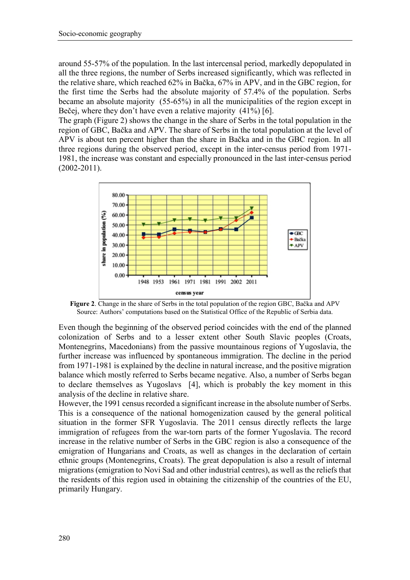around 55-57% of the population. In the last intercensal period, markedly depopulated in all the three regions, the number of Serbs increased significantly, which was reflected in the relative share, which reached 62% in Bačka, 67% in APV, and in the GBC region, for the first time the Serbs had the absolute majority of 57.4% of the population. Serbs became an absolute majority (55-65%) in all the municipalities of the region except in Bečej, where they don't have even a relative majority (41%) [6].

The graph (Figure 2) shows the change in the share of Serbs in the total population in the region of GBC, Bačka and APV. The share of Serbs in the total population at the level of APV is about ten percent higher than the share in Bačka and in the GBC region. In all three regions during the observed period, except in the inter-census period from 1971- 1981, the increase was constant and especially pronounced in the last inter-census period (2002-2011).



**Figure 2**. Change in the share of Serbs in the total population of the region GBC, Bačka and APV Source: Authors' computations based on the Statistical Office of the Republic of Serbia data.

Even though the beginning of the observed period coincides with the end of the planned colonization of Serbs and to a lesser extent other South Slavic peoples (Croats, Montenegrins, Macedonians) from the passive mountainous regions of Yugoslavia, the further increase was influenced by spontaneous immigration. The decline in the period from 1971-1981 is explained by the decline in natural increase, and the positive migration balance which mostly referred to Serbs became negative. Also, a number of Serbs began to declare themselves as Yugoslavs [4], which is probably the key moment in this analysis of the decline in relative share.

However, the 1991 census recorded a significant increase in the absolute number of Serbs. This is a consequence of the national homogenization caused by the general political situation in the former SFR Yugoslavia. The 2011 census directly reflects the large immigration of refugees from the war-torn parts of the former Yugoslavia. The record increase in the relative number of Serbs in the GBC region is also a consequence of the emigration of Hungarians and Croats, as well as changes in the declaration of certain ethnic groups (Montenegrins, Croats). The great depopulation is also a result of internal migrations (emigration to Novi Sad and other industrial centres), as well as the reliefs that the residents of this region used in obtaining the citizenship of the countries of the EU, primarily Hungary.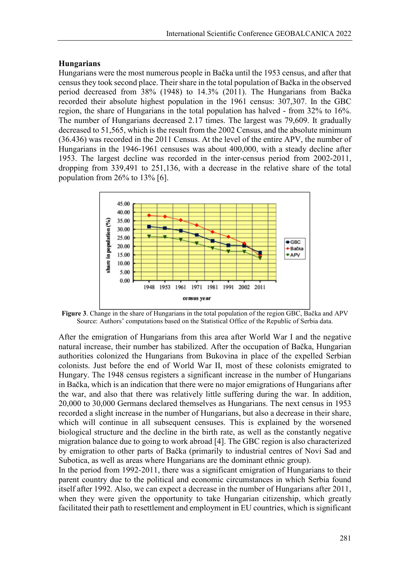#### **Hungarians**

Hungarians were the most numerous people in Bačka until the 1953 census, and after that census they took second place. Their share in the total population of Bačka in the observed period decreased from 38% (1948) to 14.3% (2011). The Hungarians from Bačka recorded their absolute highest population in the 1961 census: 307,307. In the GBC region, the share of Hungarians in the total population has halved - from 32% to 16%. The number of Hungarians decreased 2.17 times. The largest was 79,609. It gradually decreased to 51,565, which is the result from the 2002 Census, and the absolute minimum (36.436) was recorded in the 2011 Census. At the level of the entire APV, the number of Hungarians in the 1946-1961 censuses was about 400,000, with a steady decline after 1953. The largest decline was recorded in the inter-census period from 2002-2011, dropping from 339,491 to 251,136, with a decrease in the relative share of the total population from 26% to 13% [6].



**Figure 3**. Change in the share of Hungarians in the total population of the region GBC, Bačka and APV Source: Authors' computations based on the Statistical Office of the Republic of Serbia data.

After the emigration of Hungarians from this area after World War I and the negative natural increase, their number has stabilized. After the occupation of Bačka, Hungarian authorities colonized the Hungarians from Bukovina in place of the expelled Serbian colonists. Just before the end of World War II, most of these colonists emigrated to Hungary. The 1948 census registers a significant increase in the number of Hungarians in Bačka, which is an indication that there were no major emigrations of Hungarians after the war, and also that there was relatively little suffering during the war. In addition, 20,000 to 30,000 Germans declared themselves as Hungarians. The next census in 1953 recorded a slight increase in the number of Hungarians, but also a decrease in their share, which will continue in all subsequent censuses. This is explained by the worsened biological structure and the decline in the birth rate, as well as the constantly negative migration balance due to going to work abroad [4]. The GBC region is also characterized by emigration to other parts of Bačka (primarily to industrial centres of Novi Sad and Subotica, as well as areas where Hungarians are the dominant ethnic group).

In the period from 1992-2011, there was a significant emigration of Hungarians to their parent country due to the political and economic circumstances in which Serbia found itself after 1992. Also, we can expect a decrease in the number of Hungarians after 2011, when they were given the opportunity to take Hungarian citizenship, which greatly facilitated their path to resettlement and employment in EU countries, which is significant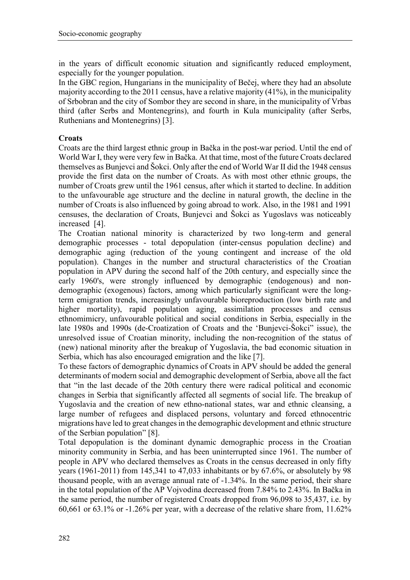in the years of difficult economic situation and significantly reduced employment, especially for the younger population.

In the GBC region, Hungarians in the municipality of Bečej, where they had an absolute majority according to the 2011 census, have a relative majority (41%), in the municipality of Srbobran and the city of Sombor they are second in share, in the municipality of Vrbas third (after Serbs and Montenegrins), and fourth in Kula municipality (after Serbs, Ruthenians and Montenegrins) [3].

## **Croats**

Croats are the third largest ethnic group in Bačka in the post-war period. Until the end of World War I, they were very few in Bačka. At that time, most of the future Croats declared themselves as Bunjevci and Šokci. Only after the end of World War II did the 1948 census provide the first data on the number of Croats. As with most other ethnic groups, the number of Croats grew until the 1961 census, after which it started to decline. In addition to the unfavourable age structure and the decline in natural growth, the decline in the number of Croats is also influenced by going abroad to work. Also, in the 1981 and 1991 censuses, the declaration of Croats, Bunjevci and Šokci as Yugoslavs was noticeably increased [4].

The Croatian national minority is characterized by two long-term and general demographic processes - total depopulation (inter-census population decline) and demographic aging (reduction of the young contingent and increase of the old population). Changes in the number and structural characteristics of the Croatian population in APV during the second half of the 20th century, and especially since the early 1960's, were strongly influenced by demographic (endogenous) and nondemographic (exogenous) factors, among which particularly significant were the longterm emigration trends, increasingly unfavourable bioreproduction (low birth rate and higher mortality), rapid population aging, assimilation processes and census ethnomimicry, unfavourable political and social conditions in Serbia, especially in the late 1980s and 1990s (de-Croatization of Croats and the 'Bunjevci-Šokci" issue), the unresolved issue of Croatian minority, including the non-recognition of the status of (new) national minority after the breakup of Yugoslavia, the bad economic situation in Serbia, which has also encouraged emigration and the like [7].

To these factors of demographic dynamics of Croats in APV should be added the general determinants of modern social and demographic development of Serbia, above all the fact that "in the last decade of the 20th century there were radical political and economic changes in Serbia that significantly affected all segments of social life. The breakup of Yugoslavia and the creation of new ethno-national states, war and ethnic cleansing, a large number of refugees and displaced persons, voluntary and forced ethnocentric migrations have led to great changes in the demographic development and ethnic structure of the Serbian population" [8].

Total depopulation is the dominant dynamic demographic process in the Croatian minority community in Serbia, and has been uninterrupted since 1961. The number of people in APV who declared themselves as Croats in the census decreased in only fifty years (1961-2011) from 145,341 to 47,033 inhabitants or by 67.6%, or absolutely by 98 thousand people, with an average annual rate of -1.34%. In the same period, their share in the total population of the AP Vojvodina decreased from 7.84% to 2.43%. In Bačka in the same period, the number of registered Croats dropped from 96,098 to 35,437, i.e. by 60,661 or 63.1% or -1.26% per year, with a decrease of the relative share from, 11.62%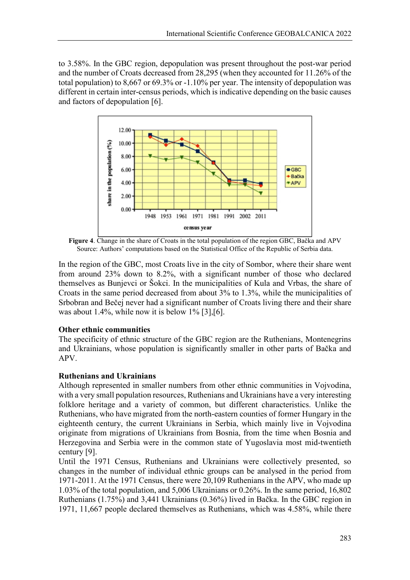to 3.58%. In the GBC region, depopulation was present throughout the post-war period and the number of Croats decreased from 28,295 (when they accounted for 11.26% of the total population) to 8,667 or 69.3% or -1.10% per year. The intensity of depopulation was different in certain inter-census periods, which is indicative depending on the basic causes and factors of depopulation [6].



**Figure 4**. Change in the share of Croats in the total population of the region GBC, Bačka and APV Source: Authors' computations based on the Statistical Office of the Republic of Serbia data.

In the region of the GBC, most Croats live in the city of Sombor, where their share went from around 23% down to 8.2%, with a significant number of those who declared themselves as Bunjevci or Šokci. In the municipalities of Kula and Vrbas, the share of Croats in the same period decreased from about 3% to 1.3%, while the municipalities of Srbobran and Bečej never had a significant number of Croats living there and their share was about 1.4%, while now it is below  $1\%$  [3], [6].

# **Other ethnic communities**

The specificity of ethnic structure of the GBC region are the Ruthenians, Montenegrins and Ukrainians, whose population is significantly smaller in other parts of Bačka and APV.

## **Ruthenians and Ukrainians**

Although represented in smaller numbers from other ethnic communities in Vojvodina, with a very small population resources, Ruthenians and Ukrainians have a very interesting folklore heritage and a variety of common, but different characteristics. Unlike the Ruthenians, who have migrated from the north-eastern counties of former Hungary in the eighteenth century, the current Ukrainians in Serbia, which mainly live in Vojvodina originate from migrations of Ukrainians from Bosnia, from the time when Bosnia and Herzegovina and Serbia were in the common state of Yugoslavia most mid-twentieth century [9].

Until the 1971 Census, Ruthenians and Ukrainians were collectively presented, so changes in the number of individual ethnic groups can be analysed in the period from 1971-2011. At the 1971 Census, there were 20,109 Ruthenians in the APV, who made up 1.03% of the total population, and 5,006 Ukrainians or 0.26%. In the same period, 16,802 Ruthenians (1.75%) and 3,441 Ukrainians (0.36%) lived in Bačka. In the GBC region in 1971, 11,667 people declared themselves as Ruthenians, which was 4.58%, while there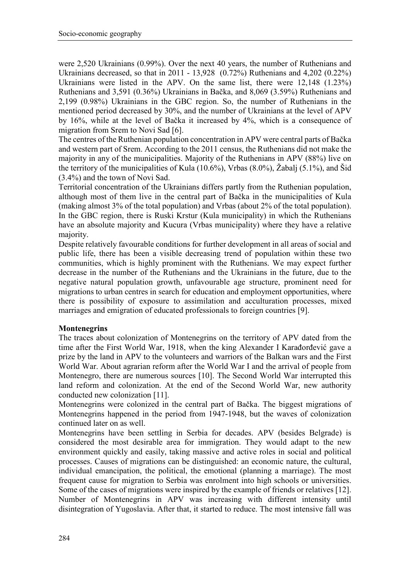were 2,520 Ukrainians (0.99%). Over the next 40 years, the number of Ruthenians and Ukrainians decreased, so that in 2011 - 13,928 (0.72%) Ruthenians and 4,202 (0.22%) Ukrainians were listed in the APV. On the same list, there were 12,148 (1.23%) Ruthenians and 3,591 (0.36%) Ukrainians in Bačka, and 8,069 (3.59%) Ruthenians and 2,199 (0.98%) Ukrainians in the GBC region. So, the number of Ruthenians in the mentioned period decreased by 30%, and the number of Ukrainians at the level of APV by 16%, while at the level of Bačka it increased by 4%, which is a consequence of migration from Srem to Novi Sad [6].

The centres of the Ruthenian population concentration in APV were central parts of Bačka and western part of Srem. According to the 2011 census, the Ruthenians did not make the majority in any of the municipalities. Majority of the Ruthenians in APV (88%) live on the territory of the municipalities of Kula (10.6%), Vrbas (8.0%), Žabalj (5.1%), and Šid (3.4%) and the town of Novi Sad.

Territorial concentration of the Ukrainians differs partly from the Ruthenian population, although most of them live in the central part of Bačka in the municipalities of Kula (making almost 3% of the total population) and Vrbas (about 2% of the total population). In the GBC region, there is Ruski Krstur (Kula municipality) in which the Ruthenians have an absolute majority and Kucura (Vrbas municipality) where they have a relative majority.

Despite relatively favourable conditions for further development in all areas of social and public life, there has been a visible decreasing trend of population within these two communities, which is highly prominent with the Ruthenians. We may expect further decrease in the number of the Ruthenians and the Ukrainians in the future, due to the negative natural population growth, unfavourable age structure, prominent need for migrations to urban centres in search for education and employment opportunities, where there is possibility of exposure to assimilation and acculturation processes, mixed marriages and emigration of educated professionals to foreign countries [9].

## **Montenegrins**

The traces about colonization of Montenegrins on the territory of APV dated from the time after the First World War, 1918, when the king Alexander I Karađorđević gave a prize by the land in APV to the volunteers and warriors of the Balkan wars and the First World War. About agrarian reform after the World War I and the arrival of people from Montenegro, there are numerous sources [10]. The Second World War interrupted this land reform and colonization. At the end of the Second World War, new authority conducted new colonization [11].

Montenegrins were colonized in the central part of Bačka. The biggest migrations of Montenegrins happened in the period from 1947-1948, but the waves of colonization continued later on as well.

Montenegrins have been settling in Serbia for decades. APV (besides Belgrade) is considered the most desirable area for immigration. They would adapt to the new environment quickly and easily, taking massive and active roles in social and political processes. Causes of migrations can be distinguished: an economic nature, the cultural, individual emancipation, the political, the emotional (planning a marriage). The most frequent cause for migration to Serbia was enrolment into high schools or universities. Some of the cases of migrations were inspired by the example of friends or relatives [12]. Number of Montenegrins in APV was increasing with different intensity until disintegration of Yugoslavia. After that, it started to reduce. The most intensive fall was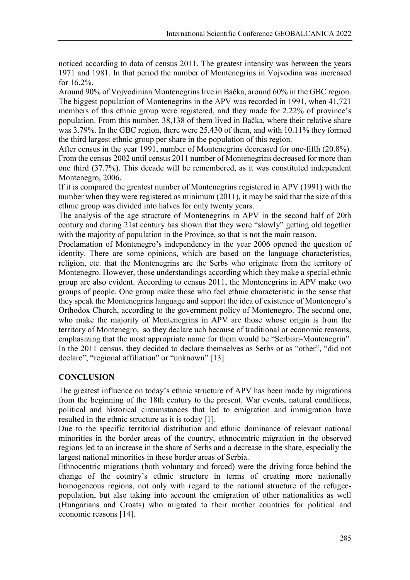noticed according to data of census 2011. The greatest intensity was between the years 1971 and 1981. In that period the number of Montenegrins in Vojvodina was increased for 16.2%.

Around 90% of Vojvodinian Montenegrins live in Bačka, around 60% in the GBC region. The biggest population of Montenegrins in the APV was recorded in 1991, when 41,721 members of this ethnic group were registered, and they made for 2.22% of province's population. From this number, 38,138 of them lived in Bačka, where their relative share was 3.79%. In the GBC region, there were 25,430 of them, and with 10.11% they formed the third largest ethnic group per share in the population of this region.

After census in the year 1991, number of Montenegrins decreased for one-fifth (20.8%). From the census 2002 until census 2011 number of Montenegrins decreased for more than one third (37.7%). This decade will be remembered, as it was constituted independent Montenegro, 2006.

If it is compared the greatest number of Montenegrins registered in APV (1991) with the number when they were registered as minimum (2011), it may be said that the size of this ethnic group was divided into halves for only twenty years.

The analysis of the age structure of Montenegrins in APV in the second half of 20th century and during 21st century has shown that they were "slowly" getting old together with the majority of population in the Province, so that is not the main reason.

Proclamation of Montenegro's independency in the year 2006 opened the question of identity. There are some opinions, which are based on the language characteristics, religion, etc. that the Montenegrins are the Serbs who originate from the territory of Montenegro. However, those understandings according which they make a special ethnic group are also evident. According to census 2011, the Montenegrins in APV make two groups of people. One group make those who feel ethnic characteristic in the sense that they speak the Montenegrins language and support the idea of existence of Montenegro's Orthodox Church, according to the government policy of Montenegro. The second one, who make the majority of Montenegrins in APV are those whose origin is from the territory of Montenegro, so they declare uch because of traditional or economic reasons, emphasizing that the most appropriate name for them would be "Serbian-Montenegrin". In the 2011 census, they decided to declare themselves as Serbs or as "other", "did not declare", "regional affiliation" or "unknown" [13].

# **CONCLUSION**

The greatest influence on today's ethnic structure of APV has been made by migrations from the beginning of the 18th century to the present. War events, natural conditions, political and historical circumstances that led to emigration and immigration have resulted in the ethnic structure as it is today [1].

Due to the specific territorial distribution and ethnic dominance of relevant national minorities in the border areas of the country, ethnocentric migration in the observed regions led to an increase in the share of Serbs and a decrease in the share, especially the largest national minorities in these border areas of Serbia.

Ethnocentric migrations (both voluntary and forced) were the driving force behind the change of the country's ethnic structure in terms of creating more nationally homogeneous regions, not only with regard to the national structure of the refugeepopulation, but also taking into account the emigration of other nationalities as well (Hungarians and Croats) who migrated to their mother countries for political and economic reasons [14].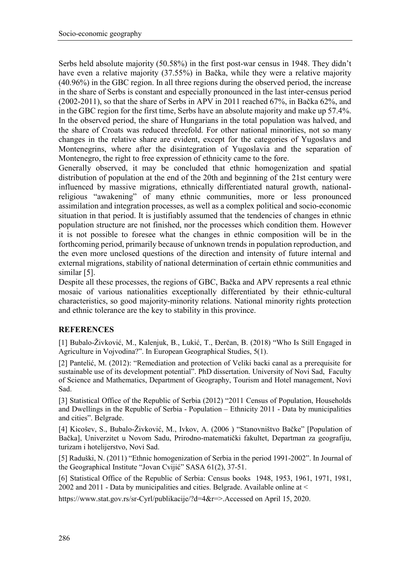Serbs held absolute majority (50.58%) in the first post-war census in 1948. They didn't have even a relative majority (37.55%) in Bačka, while they were a relative majority (40.96%) in the GBC region. In all three regions during the observed period, the increase in the share of Serbs is constant and especially pronounced in the last inter-census period (2002-2011), so that the share of Serbs in APV in 2011 reached 67%, in Bačka 62%, and in the GBC region for the first time, Serbs have an absolute majority and make up 57.4%. In the observed period, the share of Hungarians in the total population was halved, and the share of Croats was reduced threefold. For other national minorities, not so many changes in the relative share are evident, except for the categories of Yugoslavs and Montenegrins, where after the disintegration of Yugoslavia and the separation of Montenegro, the right to free expression of ethnicity came to the fore.

Generally observed, it may be concluded that ethnic homogenization and spatial distribution of population at the end of the 20th and beginning of the 21st century were influenced by massive migrations, ethnically differentiated natural growth, nationalreligious "awakening" of many ethnic communities, more or less pronounced assimilation and integration processes, as well as a complex political and socio-economic situation in that period. It is justifiably assumed that the tendencies of changes in ethnic population structure are not finished, nor the processes which condition them. However it is not possible to foresee what the changes in ethnic composition will be in the forthcoming period, primarily because of unknown trends in population reproduction, and the even more unclosed questions of the direction and intensity of future internal and external migrations, stability of national determination of certain ethnic communities and similar [5].

Despite all these processes, the regions of GBC, Bačka and APV represents a real ethnic mosaic of various nationalities exceptionally differentiated by their ethnic-cultural characteristics, so good majority-minority relations. National minority rights protection and ethnic tolerance are the key to stability in this province.

# **REFERENCES**

[1] Bubalo-Živković, M., Kalenjuk, B., Lukić, T., Đerčan, B. (2018) "Who Is Still Engaged in Agriculture in Vojvodina?". In European Geographical Studies, 5(1).

[2] Pantelić, M. (2012): "Remediation and protection of Veliki baсki canal as a prerequisite for sustainable use of its development potential". PhD dissertation. University of Novi Sad, Faculty of Science and Mathematics, Department of Geography, Tourism and Hotel management, Novi Sad.

[3] Statistical Office of the Republic of Serbia (2012) "2011 Census of Population, Households and Dwellings in the Republic of Serbia - Population – Ethnicity 2011 - Data by municipalities and cities". Belgrade.

[4] Kicošev, S., Bubalo-Živković, M., Ivkov, A. (2006 ) "Stanovništvo Bačke" [Population of Bačka], Univerzitet u Novom Sadu, Prirodno-matematički fakultet, Departman za geografiju, turizam i hotelijerstvo, Novi Sad.

[5] Raduški, N. (2011) "Еthnic homogenization of Serbia in the period 1991-2002". In Journal of the Geographical Institute "Jovan Cvijić" SASA 61(2), 37-51.

[6] Statistical Office of the Republic of Serbia: Census books 1948, 1953, 1961, 1971, 1981, 2002 and 2011 - Data by municipalities and cities. Belgrade. Available online at <

https://www.stat.gov.rs/sr-Cyrl/publikacije/?d=4&r=>.Accessed on April 15, 2020.